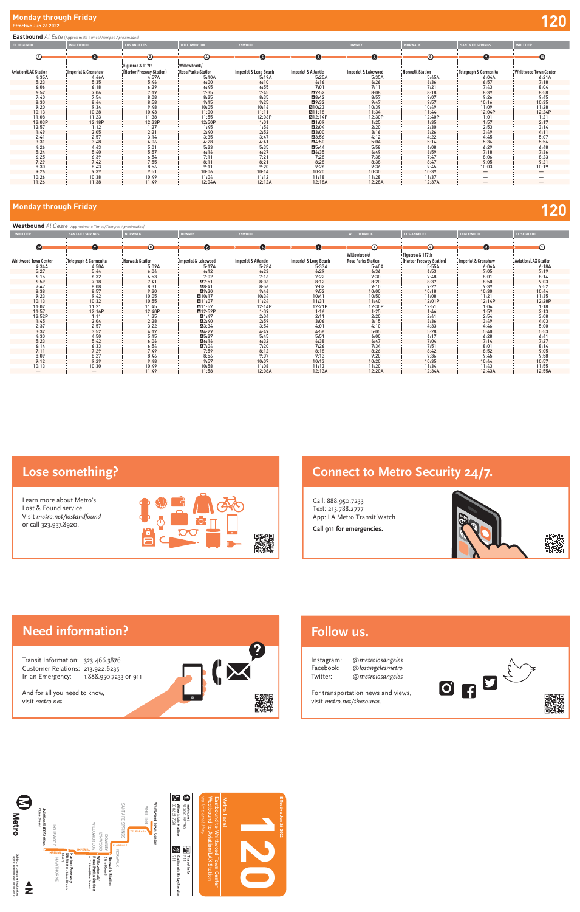#### **Eastbound** *Al Este* (Approximate Times/*Tiempos Aproximados)*

| <b>EL SEGUNDO</b>           | <b>INGLEWOOD</b>    | <b>LOS ANGELES</b>         | <b>WILLOWBROOK</b>        | LYNWOOD               |                                | <b>DOWNEY</b>       | <b>NORWALK</b>  | <b>SANTA FE SPRINGS</b>  | <b>WHITTIER</b>          |
|-----------------------------|---------------------|----------------------------|---------------------------|-----------------------|--------------------------------|---------------------|-----------------|--------------------------|--------------------------|
| $\odot$                     | $\odot$             | $\odot$                    | $\odot$                   | $\sqrt{5}$            | (6)                            | $\sqrt{2}$          | $\odot$         | $\left( 2\right)$        | $\left( 10 \right)$      |
|                             |                     | Figueroa & 117th           | Willowbrook/              |                       |                                |                     |                 |                          |                          |
| <b>Aviation/LAX Station</b> | Imperial & Crenshaw | : (Harbor Freeway Station) | <b>Rosa Parks Station</b> | Imperial & Long Beach | <b>Imperial &amp; Atlantic</b> | Imperial & Lakewood | Norwalk Station | Telegraph & Carmenita    | Whittwood Town Center    |
| 4:35A                       | 4:46A               | 4:57A                      | 5:10A                     | 5:19A                 | 5:25A                          | 5:35A               | 5:45A           | 6:04A                    | 6:21A                    |
| 5:23                        | 5:35                | 5:46                       | 6:00                      | 6:10                  | 6:16                           | 6:26                | 6:36            | 6:57                     | 7:18                     |
| 6:06                        | 6:18                | 6:29                       | 6:45                      | 6:55                  | 7:01                           | 7:11                | 7:21            | 7:43                     | 8:04                     |
| 6:52                        | 7:06                | 7:19                       | 7:35                      | 7:45                  | $\blacksquare$ 7:52            | 8:08                | 8:18            | 8:39                     | 8:58                     |
| 7:40                        | 7:54                | 8:08                       | 8:25                      | 8:35                  | A8:42                          | 8:57                | 9:07            | 9:26                     | 9:45                     |
| 8:30                        | 8:44                | 8:58                       | 9:15                      | 9:25                  | A9:32                          | 9:47                | 9:57            | 10:16                    | 10:35                    |
| 9:20                        | 9:34                | 9:48                       | 10:05                     | 10:16                 | A10:23                         | 10:39               | 10:49           | 11:09                    | 11:28                    |
| 10:13                       | 10:28               | 10:43                      | 11:00                     | 11:11                 | A11:18                         | 11:34               | 11:44           | 12:04P                   | 12:24P                   |
| 11:08                       | 11:23               | 11:38                      | 11:55                     | 12:06P                | A12:14P                        | 12:30P              | 12:40P          | 1:01                     | 1:21                     |
| 12:03P                      | 12:18P              | 12:33P                     | 12:50P                    | 1:01                  | A1:09                          | 1:25                | 1:35            | 1:57                     | 2:17                     |
| 12:57                       | 1:12                | 1:27                       | 1:45                      | 1:56                  | A2:04                          | 2:20                | 2:30            | 2:53                     | 3:14                     |
| 1:49                        | 2:05                | 2:21                       | 2:40                      | 2:52                  | $\blacksquare$ 3:00            | 3:16                | 3:26            | 3:49                     | 4:11                     |
| 2:41                        | 2:57                | 3:14                       | 3:35                      | 3:47                  | A3:56                          | 4:12                | 4:22            | 4:45                     | 5:07                     |
| 3:31                        | 3:48                | 4:06                       | 4:28                      | 4:41                  | A4:50                          | 5:04                | 5:14            | 5:36                     | 5:56                     |
| 4:26                        | 4:43                | 5:01                       | 5:23                      | 5:35                  | A5:44                          | 5:58                | 6:08            | 6:29                     | 6:48                     |
| 5:24                        | 5:40                | 5:57                       | 6:16                      | 6:27                  | A6:35                          | 6:49                | 6:59            | 7:18                     | 7:36                     |
| 6:25                        | 6:39                | 6:54                       | 7:11                      | 7:21                  | 7:28                           | 7:38                | 7:47            | 8:06                     | 8:23                     |
| 7:29                        | 7:42                | 7:55                       | 8:11                      | 8:21                  | 8:28                           | 8:38                | 8:47            | 9:05                     | 9:21                     |
| 8:30                        | 8:43                | 8:56                       | 9:11                      | 9:20                  | 9:26                           | 9:36                | 9:45            | 10:03                    | 10:19                    |
| 9:26                        | 9:39                | 9:51                       | 10:06                     | 10:14                 | 10:20                          | 10:30               | 10:39           | $\qquad \qquad -$        |                          |
| 10:26                       | 10:38               | 10:49                      | 11:04                     | 11:12                 | 11:18                          | 11:28               | 11:37           | $\overline{\phantom{0}}$ | $\overline{\phantom{0}}$ |
| 11:26                       | 11:38               | 11:49                      | 12:04A                    | 12:12A                | 12:18A                         | 12:28A              | 12:37A          | $\overline{\phantom{0}}$ | $\overline{\phantom{0}}$ |

| Westbound Al Oeste (Approximate Times/Tiempos Aproximados) |                          |                        |                       |                     |                                  |                           |                          |                     |                             |  |
|------------------------------------------------------------|--------------------------|------------------------|-----------------------|---------------------|----------------------------------|---------------------------|--------------------------|---------------------|-----------------------------|--|
| <b>WHITTIER</b>                                            | <b>SANTA FE SPRINGS</b>  | <b>NORWALK</b>         | <b>DOWNEY</b>         | LYNWOOD             |                                  | <b>WILLOWBROOK</b>        | <b>LOS ANGELES</b>       | <b>INGLEWOOD</b>    | <b>EL SEGUNDO</b>           |  |
|                                                            |                          |                        |                       |                     |                                  |                           |                          |                     |                             |  |
| $\bf \Phi$                                                 | $\bullet$                | $\bm{\copyright}$      | $\boldsymbol{\sigma}$ | (6)                 | (5)                              | $\odot$                   | $\odot$                  | $\left( 2\right)$   | $\odot$                     |  |
|                                                            |                          |                        |                       |                     |                                  | Willowbrook/              | Figueroa & 117th         |                     |                             |  |
| <b>Whittwood Town Center</b>                               | Telegraph & Carmenita    | <b>Norwalk Station</b> | Imperial & Lakewood   | Imperial & Atlantic | <b>Imperial &amp; Long Beach</b> | <b>Rosa Parks Station</b> | (Harbor Freeway Station) | Imperial & Crenshaw | <b>Aviation/LAX Station</b> |  |
| 4:34A                                                      | 4:50A                    | 5:09A                  | 5:17A                 | 5:28A               | 5:33A                            | 5:40A                     | 5:55A                    | 6:06A               | 6:18A                       |  |
| 5:27                                                       | 5:44                     | 6:04                   | 6:12                  | 6:23                | 6:29                             | 6:36                      | 6:53                     | 7:05                | 7:19                        |  |
| 6:15                                                       | 6:32                     | 6:53                   | 7:02                  | 7:16                | 7:22                             | 7:30                      | 7:48                     | 8:01                | 8:14                        |  |
| 6:59                                                       | 7:18                     | 7:41                   | $\blacksquare$ 7:51   | 8:06                | 8:12                             | 8:20                      | 8:37                     | 8:50                | 9:03                        |  |
| 7:47                                                       | 8:08                     | 8:31                   | A8:41                 | 8:56                | 9:02                             | 9:10                      | 9:27                     | 9:39                | 9:52                        |  |
| 8:38                                                       | 8:57                     | 9:20                   | $\mathbf{A}$ 9:30     | 9:46                | 9:52                             | 10:00                     | 10:18                    | 10:30               | 10:44                       |  |
| 9:23                                                       | 9:42                     | 10:05                  | $\blacksquare$ 10:17  | 10:34               | 10:41                            | 10:50                     | 11:08                    | 11:21               | 11:35                       |  |
| 10:13                                                      | 10:32                    | 10:55                  | A11:07                | 11:24               | 11:31                            | 11:40                     | 12:01P                   | 12:14P              | 12:28P                      |  |
| 11:02                                                      | 11:21                    | 11:45                  | $\blacksquare$ 11:57  | 12:14P              | 12:21P                           | 12:30P                    | 12:51                    | 1:04                | 1:18                        |  |
| 11:57                                                      | 12:16P                   | 12:40P                 | A12:52P               | 1:09                | 1:16                             | 1:25                      | 1:46                     | 1:59                | 2:13                        |  |
| 12:52P                                                     | 1:11                     | 1:35                   | A1:47                 | 2:04                | 2:11                             | 2:20                      | 2:41                     | 2:54                | 3:08                        |  |
| 1:45                                                       | 2:04                     | 2:28                   | $\Delta$ 2:40         | 2:59                | 3:06                             | 3:15                      | 3:36                     | 3:49                | 4:03                        |  |
| 2:37                                                       | 2:57                     | 3:22                   | A3:34                 | 3:54                | 4:01                             | 4:10                      | 4:33                     | 4:46                | 5:00                        |  |
| 3:32                                                       | 3:52                     | 4:17                   | $\mathbf{A}4:29$      | 4:49                | 4:56                             | 5:05                      | 5:28                     | 5:40                | 5:53                        |  |
| 4:30                                                       | 4:50                     | 5:15                   | $\Delta$ 5:27         | 5:45                | 5:51                             | 6:00                      | 6:17                     | 6:28                | 6:41                        |  |
| 5:23                                                       | 5:42                     | 6:06                   | A6:16                 | 6:32                | 6:38                             | 6:47                      | 7:04                     | 7:14                | 7:27                        |  |
| 6:14                                                       | 6:33                     | 6:54                   | A7:04                 | 7:20                | 7:26                             | 7:34                      | 7:51                     | 8:01                | 8:14                        |  |
| 7:11                                                       | 7:29                     | 7:49                   | 7:59                  | 8:12                | 8:18                             | 8:26                      | 8:42                     | 8:52                | 9:05                        |  |
| 8:09                                                       | 8:27                     | 8:46                   | 8:56                  | 9:07                | 9:13                             | 9:20                      | 9:36                     | 9:45                | 9:58                        |  |
| 9:12                                                       | 9:29                     | 9:48                   | 9:57                  | 10:07               | 10:13                            | 10:20                     | 10:35                    | 10:44               | 10:57                       |  |
| 10:13                                                      | 10:30                    | 10:49                  | 10:58                 | 11:08               | 11:13                            | 11:20                     | 11:34                    | 11:43               | 11:55                       |  |
| —                                                          | $\overline{\phantom{0}}$ | 11:49                  | 11:58                 | 12:08A              | 12:13A                           | 12:20A                    | 12:34A                   | 12:43A              | 12:55A                      |  |

For transportation news and views, visit metro.net/thesource.



# **Monday through Friday 120**

| <b>WOOD</b> | <b>EL SEGUNDO</b> |
|-------------|-------------------|
|             |                   |

### **Lose something?**

Learn more about Metro's Lost & Found service. Visit metro.net/lostandfound or call 323.937.8920.





## Follow us.

Text: 213.788.27777.<br>213.788.2777

# **Connect to Metro Security 24/7.**

Call: 888.950.7233 Text: 213.788.2777 App: LA Metro Transit Watch



**Call 911 for emergencies.**

Call: 888.950.7233



| Instagram: | @metrolosangeles |
|------------|------------------|
| Facebook:  | @losangelesmetro |
| Twitter:   | @metrolosangeles |